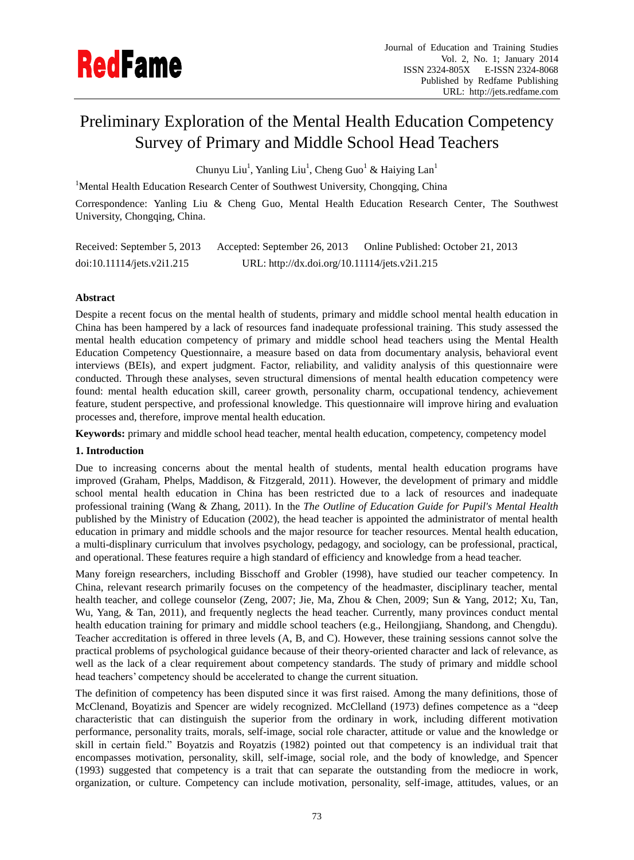

# Preliminary Exploration of the Mental Health Education Competency Survey of Primary and Middle School Head Teachers

Chunyu Liu<sup>1</sup>, Yanling Liu<sup>1</sup>, Cheng Guo<sup>1</sup> & Haiying Lan<sup>1</sup>

<sup>1</sup>Mental Health Education Research Center of Southwest University, Chongqing, China

Correspondence: Yanling Liu & Cheng Guo, Mental Health Education Research Center, The Southwest University, Chongqing, China.

| Received: September 5, 2013 | Accepted: September 26, 2013                  | Online Published: October 21, 2013 |
|-----------------------------|-----------------------------------------------|------------------------------------|
| doi:10.11114/jets.v2i1.215  | URL: http://dx.doi.org/10.11114/jets.v2i1.215 |                                    |

# **Abstract**

Despite a recent focus on the mental health of students, primary and middle school mental health education in China has been hampered by a lack of resources fand inadequate professional training. This study assessed the mental health education competency of primary and middle school head teachers using the Mental Health Education Competency Questionnaire, a measure based on data from documentary analysis, behavioral event interviews (BEIs), and expert judgment. Factor, reliability, and validity analysis of this questionnaire were conducted. Through these analyses, seven structural dimensions of mental health education competency were found: mental health education skill, career growth, personality charm, occupational tendency, achievement feature, student perspective, and professional knowledge. This questionnaire will improve hiring and evaluation processes and, therefore, improve mental health education.

**Keywords:** primary and middle school head teacher, mental health education, competency, competency model

# **1. Introduction**

Due to increasing concerns about the mental health of students, mental health education programs have improved [\(Graham, Phelps, Maddison, & Fitzgerald, 2011\)](#page-6-0). However, the development of primary and middle school mental health education in China has been restricted due to a lack of resources and inadequate professional training [\(Wang & Zhang, 2011\)](#page-7-0). In the *The Outline of Education Guide for Pupil's Mental Health* published by the Ministry of Education (2002), the head teacher is appointed the administrator of mental health education in primary and middle schools and the major resource for teacher resources. Mental health education, a multi-displinary curriculum that involves psychology, pedagogy, and sociology, can be professional, practical, and operational. These features require a high standard of efficiency and knowledge from a head teacher.

Many foreign researchers, including Bisschoff [and Grobler](#page-6-1) (1998), have studied our teacher competency. In China, relevant research primarily focuses on the competency of the headmaster, disciplinary teacher, mental health teacher, and college counselor [\(Zeng, 2007;](#page-7-1) [Jie, Ma, Zhou & Chen, 2009;](#page-7-2) [Sun & Yang, 2012;](#page-7-3) [Xu, Tan,](#page-7-4)  [Wu, Yang, & Tan, 2011\)](#page-7-4), and frequently neglects the head teacher. Currently, many provinces conduct mental health education training for primary and middle school teachers (e.g., Heilongjiang, Shandong, and Chengdu). Teacher accreditation is offered in three levels (A, B, and C). However, these training sessions cannot solve the practical problems of psychological guidance because of their theory-oriented character and lack of relevance, as well as the lack of a clear requirement about competency standards. The study of primary and middle school head teachers' competency should be accelerated to change the current situation.

The definition of competency has been disputed since it was first raised. Among the many definitions, those of McClenand, Boyatizis and Spencer are widely recognized. [McClelland \(1973\)](#page-6-2) defines competence as a "deep characteristic that can distinguish the superior from the ordinary in work, including different motivation performance, personality traits, morals, self-image, social role character, attitude or value and the knowledge or skill in certain field." Boyatzis [and Royatzis](#page-6-3) (1982) pointed out that competency is an individual trait that encompasses motivation, personality, skill, self-image, social role, and the body of knowledge, and Spencer (1993) suggested that competency is a trait that can separate the outstanding from the mediocre in work, organization, or culture. Competency can include motivation, personality, self-image, attitudes, values, or an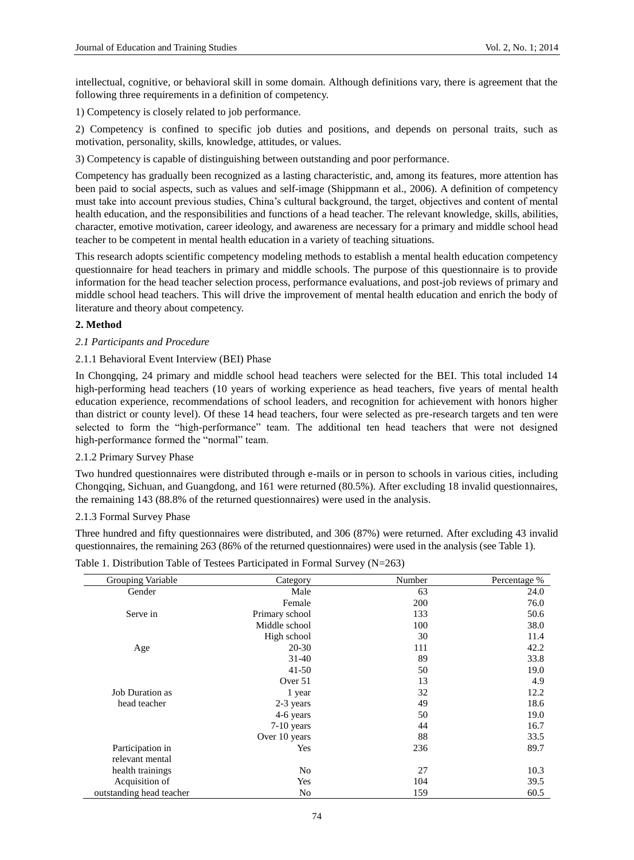intellectual, cognitive, or behavioral skill in some domain. Although definitions vary, there is agreement that the following three requirements in a definition of competency.

1) Competency is closely related to job performance.

2) Competency is confined to specific job duties and positions, and depends on personal traits, such as motivation, personality, skills, knowledge, attitudes, or values.

3) Competency is capable of distinguishing between outstanding and poor performance.

Competency has gradually been recognized as a lasting characteristic, and, among its features, more attention has been paid to social aspects, such as values and self-image (Shippmann et al., 2006). A definition of competency must take into account previous studies, China's cultural background, the target, objectives and content of mental health education, and the responsibilities and functions of a head teacher. The relevant knowledge, skills, abilities, character, emotive motivation, career ideology, and awareness are necessary for a primary and middle school head teacher to be competent in mental health education in a variety of teaching situations.

This research adopts scientific competency modeling methods to establish a mental health education competency questionnaire for head teachers in primary and middle schools. The purpose of this questionnaire is to provide information for the head teacher selection process, performance evaluations, and post-job reviews of primary and middle school head teachers. This will drive the improvement of mental health education and enrich the body of literature and theory about competency.

## **2. Method**

## *2.1 Participants and Procedure*

# 2.1.1 Behavioral Event Interview (BEI) Phase

In Chongqing, 24 primary and middle school head teachers were selected for the BEI. This total included 14 high-performing head teachers (10 years of working experience as head teachers, five years of mental health education experience, recommendations of school leaders, and recognition for achievement with honors higher than district or county level). Of these 14 head teachers, four were selected as pre-research targets and ten were selected to form the "high-performance" team. The additional ten head teachers that were not designed high-performance formed the "normal" team.

# 2.1.2 Primary Survey Phase

Two hundred questionnaires were distributed through e-mails or in person to schools in various cities, including Chongqing, Sichuan, and Guangdong, and 161 were returned (80.5%). After excluding 18 invalid questionnaires, the remaining 143 (88.8% of the returned questionnaires) were used in the analysis.

## 2.1.3 Formal Survey Phase

Three hundred and fifty questionnaires were distributed, and 306 (87%) were returned. After excluding 43 invalid questionnaires, the remaining 263 (86% of the returned questionnaires) were used in the analysis (see Table 1).

| Grouping Variable        | Category       | Number | Percentage % |
|--------------------------|----------------|--------|--------------|
| Gender                   | Male           | 63     | 24.0         |
|                          | Female         | 200    | 76.0         |
| Serve in                 | Primary school | 133    | 50.6         |
|                          | Middle school  | 100    | 38.0         |
|                          | High school    | 30     | 11.4         |
| Age                      | 20-30          | 111    | 42.2         |
|                          | $31-40$        | 89     | 33.8         |
|                          | $41 - 50$      | 50     | 19.0         |
|                          | Over 51        | 13     | 4.9          |
| Job Duration as          | 1 year         | 32     | 12.2         |
| head teacher             | 2-3 years      | 49     | 18.6         |
|                          | 4-6 years      | 50     | 19.0         |
|                          | $7-10$ years   | 44     | 16.7         |
|                          | Over 10 years  | 88     | 33.5         |
| Participation in         | Yes            | 236    | 89.7         |
| relevant mental          |                |        |              |
| health trainings         | No             | 27     | 10.3         |
| Acquisition of           | Yes            | 104    | 39.5         |
| outstanding head teacher | No             | 159    | 60.5         |

| Table 1. Distribution Table of Testees Participated in Formal Survey (N=263) |  |  |
|------------------------------------------------------------------------------|--|--|
|------------------------------------------------------------------------------|--|--|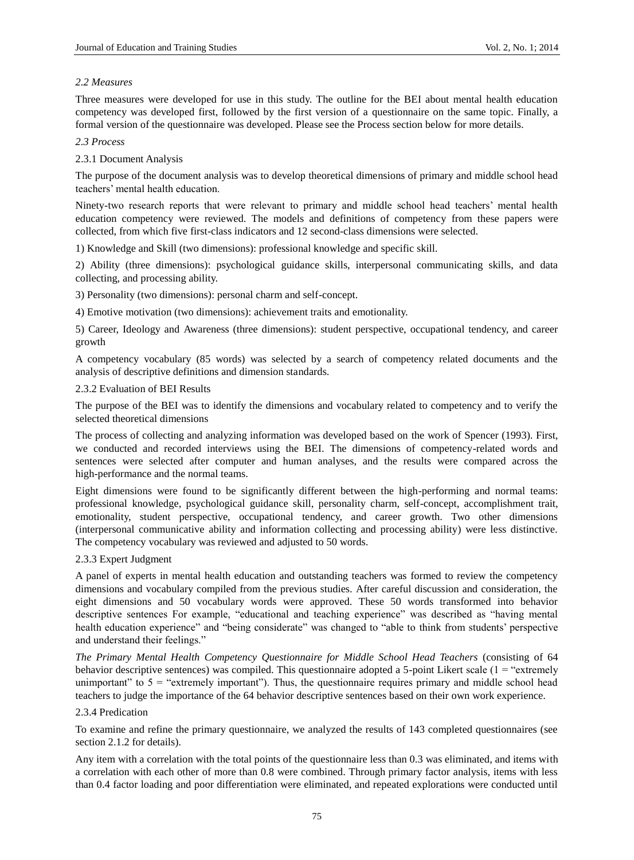# *2.2 Measures*

Three measures were developed for use in this study. The outline for the BEI about mental health education competency was developed first, followed by the first version of a questionnaire on the same topic. Finally, a formal version of the questionnaire was developed. Please see the Process section below for more details.

*2.3 Process*

## 2.3.1 Document Analysis

The purpose of the document analysis was to develop theoretical dimensions of primary and middle school head teachers' mental health education.

Ninety-two research reports that were relevant to primary and middle school head teachers' mental health education competency were reviewed. The models and definitions of competency from these papers were collected, from which five first-class indicators and 12 second-class dimensions were selected.

1) Knowledge and Skill (two dimensions): professional knowledge and specific skill.

2) Ability (three dimensions): psychological guidance skills, interpersonal communicating skills, and data collecting, and processing ability.

3) Personality (two dimensions): personal charm and self-concept.

4) Emotive motivation (two dimensions): achievement traits and emotionality.

5) Career, Ideology and Awareness (three dimensions): student perspective, occupational tendency, and career growth

A competency vocabulary (85 words) was selected by a search of competency related documents and the analysis of descriptive definitions and dimension standards.

## 2.3.2 Evaluation of BEI Results

The purpose of the BEI was to identify the dimensions and vocabulary related to competency and to verify the selected theoretical dimensions

The process of collecting and analyzing information was developed based on the work of Spencer (1993). First, we conducted and recorded interviews using the BEI. The dimensions of competency-related words and sentences were selected after computer and human analyses, and the results were compared across the high-performance and the normal teams.

Eight dimensions were found to be significantly different between the high-performing and normal teams: professional knowledge, psychological guidance skill, personality charm, self-concept, accomplishment trait, emotionality, student perspective, occupational tendency, and career growth. Two other dimensions (interpersonal communicative ability and information collecting and processing ability) were less distinctive. The competency vocabulary was reviewed and adjusted to 50 words.

# 2.3.3 Expert Judgment

A panel of experts in mental health education and outstanding teachers was formed to review the competency dimensions and vocabulary compiled from the previous studies. After careful discussion and consideration, the eight dimensions and 50 vocabulary words were approved. These 50 words transformed into behavior descriptive sentences For example, "educational and teaching experience" was described as "having mental health education experience" and "being considerate" was changed to "able to think from students' perspective and understand their feelings."

*The Primary Mental Health Competency Questionnaire for Middle School Head Teachers* (consisting of 64 behavior descriptive sentences) was compiled. This questionnaire adopted a 5-point Likert scale (1 = "extremely unimportant" to  $5 =$  "extremely important"). Thus, the questionnaire requires primary and middle school head teachers to judge the importance of the 64 behavior descriptive sentences based on their own work experience.

## 2.3.4 Predication

To examine and refine the primary questionnaire, we analyzed the results of 143 completed questionnaires (see section 2.1.2 for details).

Any item with a correlation with the total points of the questionnaire less than 0.3 was eliminated, and items with a correlation with each other of more than 0.8 were combined. Through primary factor analysis, items with less than 0.4 factor loading and poor differentiation were eliminated, and repeated explorations were conducted until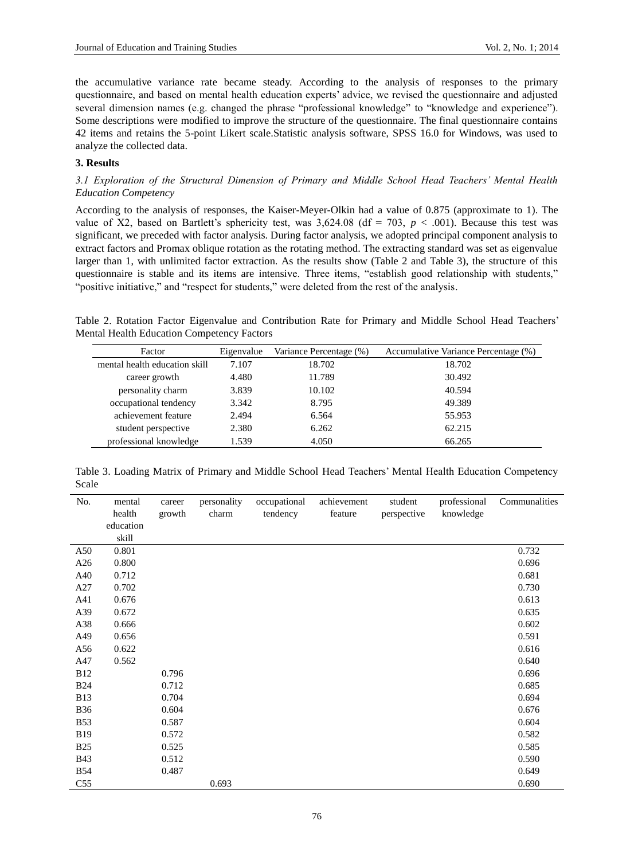the accumulative variance rate became steady. According to the analysis of responses to the primary questionnaire, and based on mental health education experts' advice, we revised the questionnaire and adjusted several dimension names (e.g. changed the phrase "professional knowledge" to "knowledge and experience"). Some descriptions were modified to improve the structure of the questionnaire. The final questionnaire contains 42 items and retains the 5-point Likert scale.Statistic analysis software, SPSS 16.0 for Windows, was used to analyze the collected data.

# **3. Results**

# *3.1 Exploration of the Structural Dimension of Primary and Middle School Head Teachers' Mental Health Education Competency*

According to the analysis of responses, the Kaiser-Meyer-Olkin had a value of 0.875 (approximate to 1). The value of X2, based on Bartlett's sphericity test, was  $3,624.08$  (df = 703, *p* < .001). Because this test was significant, we preceded with factor analysis. During factor analysis, we adopted principal component analysis to extract factors and Promax oblique rotation as the rotating method. The extracting standard was set as eigenvalue larger than 1, with unlimited factor extraction. As the results show (Table 2 and Table 3), the structure of this questionnaire is stable and its items are intensive. Three items, "establish good relationship with students," "positive initiative," and "respect for students," were deleted from the rest of the analysis.

Table 2. Rotation Factor Eigenvalue and Contribution Rate for Primary and Middle School Head Teachers' Mental Health Education Competency Factors

| Factor                        | Eigenvalue | Variance Percentage (%) | Accumulative Variance Percentage (%) |
|-------------------------------|------------|-------------------------|--------------------------------------|
| mental health education skill | 7.107      | 18.702                  | 18.702                               |
| career growth                 | 4.480      | 11.789                  | 30.492                               |
| personality charm             | 3.839      | 10.102                  | 40.594                               |
| occupational tendency         | 3.342      | 8.795                   | 49.389                               |
| achievement feature           | 2.494      | 6.564                   | 55.953                               |
| student perspective           | 2.380      | 6.262                   | 62.215                               |
| professional knowledge        | 1.539      | 4.050                   | 66.265                               |

Table 3. Loading Matrix of Primary and Middle School Head Teachers' Mental Health Education Competency Scale

| No.             | mental    | career | personality | occupational | achievement | student     | professional | Communalities |
|-----------------|-----------|--------|-------------|--------------|-------------|-------------|--------------|---------------|
|                 | health    | growth | charm       | tendency     | feature     | perspective | knowledge    |               |
|                 | education |        |             |              |             |             |              |               |
|                 | skill     |        |             |              |             |             |              |               |
| A50             | 0.801     |        |             |              |             |             |              | 0.732         |
| A26             | 0.800     |        |             |              |             |             |              | 0.696         |
| A40             | 0.712     |        |             |              |             |             |              | 0.681         |
| A27             | 0.702     |        |             |              |             |             |              | 0.730         |
| A41             | 0.676     |        |             |              |             |             |              | 0.613         |
| A39             | 0.672     |        |             |              |             |             |              | 0.635         |
| A38             | 0.666     |        |             |              |             |             |              | 0.602         |
| A49             | 0.656     |        |             |              |             |             |              | 0.591         |
| A56             | 0.622     |        |             |              |             |             |              | 0.616         |
| A47             | 0.562     |        |             |              |             |             |              | 0.640         |
| <b>B12</b>      |           | 0.796  |             |              |             |             |              | 0.696         |
| <b>B24</b>      |           | 0.712  |             |              |             |             |              | 0.685         |
| <b>B13</b>      |           | 0.704  |             |              |             |             |              | 0.694         |
| <b>B36</b>      |           | 0.604  |             |              |             |             |              | 0.676         |
| <b>B53</b>      |           | 0.587  |             |              |             |             |              | 0.604         |
| <b>B19</b>      |           | 0.572  |             |              |             |             |              | 0.582         |
| <b>B25</b>      |           | 0.525  |             |              |             |             |              | 0.585         |
| <b>B43</b>      |           | 0.512  |             |              |             |             |              | 0.590         |
| <b>B54</b>      |           | 0.487  |             |              |             |             |              | 0.649         |
| C <sub>55</sub> |           |        | 0.693       |              |             |             |              | 0.690         |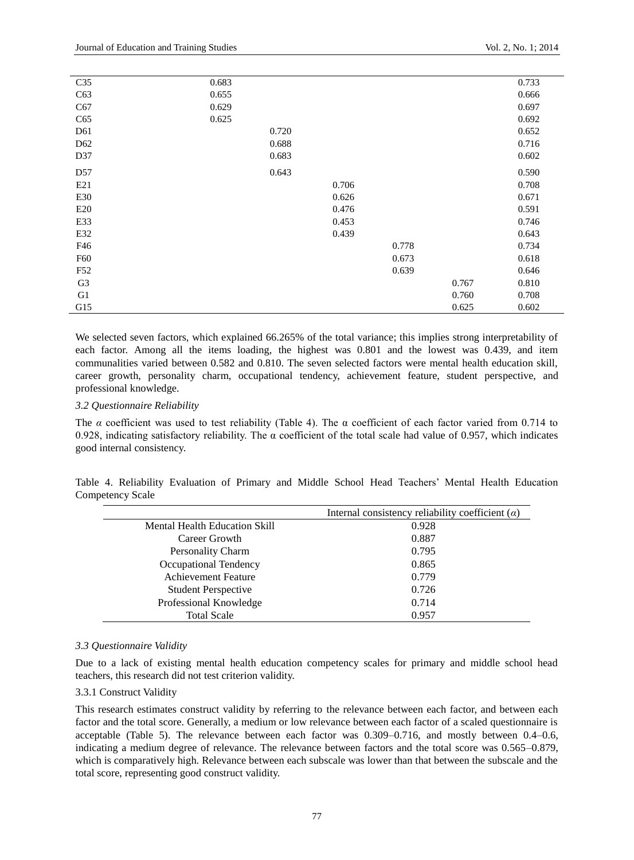| C <sub>35</sub> | 0.683 |       |       |       |       | 0.733 |
|-----------------|-------|-------|-------|-------|-------|-------|
| C63             | 0.655 |       |       |       |       | 0.666 |
| C67             | 0.629 |       |       |       |       | 0.697 |
| C65             | 0.625 |       |       |       |       | 0.692 |
| D <sub>61</sub> |       | 0.720 |       |       |       | 0.652 |
| D <sub>62</sub> |       | 0.688 |       |       |       | 0.716 |
| D37             |       | 0.683 |       |       |       | 0.602 |
| D <sub>57</sub> |       | 0.643 |       |       |       | 0.590 |
| E21             |       |       | 0.706 |       |       | 0.708 |
| E30             |       |       | 0.626 |       |       | 0.671 |
| E20             |       |       | 0.476 |       |       | 0.591 |
| E33             |       |       | 0.453 |       |       | 0.746 |
| E32             |       |       | 0.439 |       |       | 0.643 |
| F46             |       |       |       | 0.778 |       | 0.734 |
| F60             |       |       |       | 0.673 |       | 0.618 |
| F52             |       |       |       | 0.639 |       | 0.646 |
| G <sub>3</sub>  |       |       |       |       | 0.767 | 0.810 |
| G <sub>1</sub>  |       |       |       |       | 0.760 | 0.708 |
| G15             |       |       |       |       | 0.625 | 0.602 |

We selected seven factors, which explained 66.265% of the total variance; this implies strong interpretability of each factor. Among all the items loading, the highest was 0.801 and the lowest was 0.439, and item communalities varied between 0.582 and 0.810. The seven selected factors were mental health education skill, career growth, personality charm, occupational tendency, achievement feature, student perspective, and professional knowledge.

### *3.2 Questionnaire Reliability*

The *α* coefficient was used to test reliability (Table 4). The α coefficient of each factor varied from 0.714 to 0.928, indicating satisfactory reliability. The  $\alpha$  coefficient of the total scale had value of 0.957, which indicates good internal consistency.

Table 4. Reliability Evaluation of Primary and Middle School Head Teachers' Mental Health Education Competency Scale

|                                      | Internal consistency reliability coefficient $(\alpha)$ |  |  |  |  |
|--------------------------------------|---------------------------------------------------------|--|--|--|--|
| <b>Mental Health Education Skill</b> | 0.928                                                   |  |  |  |  |
| Career Growth                        | 0.887                                                   |  |  |  |  |
| <b>Personality Charm</b>             | 0.795                                                   |  |  |  |  |
| Occupational Tendency                | 0.865                                                   |  |  |  |  |
| <b>Achievement Feature</b>           | 0.779                                                   |  |  |  |  |
| <b>Student Perspective</b>           | 0.726                                                   |  |  |  |  |
| Professional Knowledge               | 0.714                                                   |  |  |  |  |
| <b>Total Scale</b>                   | 0.957                                                   |  |  |  |  |

## *3.3 Questionnaire Validity*

Due to a lack of existing mental health education competency scales for primary and middle school head teachers, this research did not test criterion validity.

## 3.3.1 Construct Validity

This research estimates construct validity by referring to the relevance between each factor, and between each factor and the total score. Generally, a medium or low relevance between each factor of a scaled questionnaire is acceptable (Table 5). The relevance between each factor was 0.309–0.716, and mostly between 0.4–0.6, indicating a medium degree of relevance. The relevance between factors and the total score was 0.565–0.879, which is comparatively high. Relevance between each subscale was lower than that between the subscale and the total score, representing good construct validity.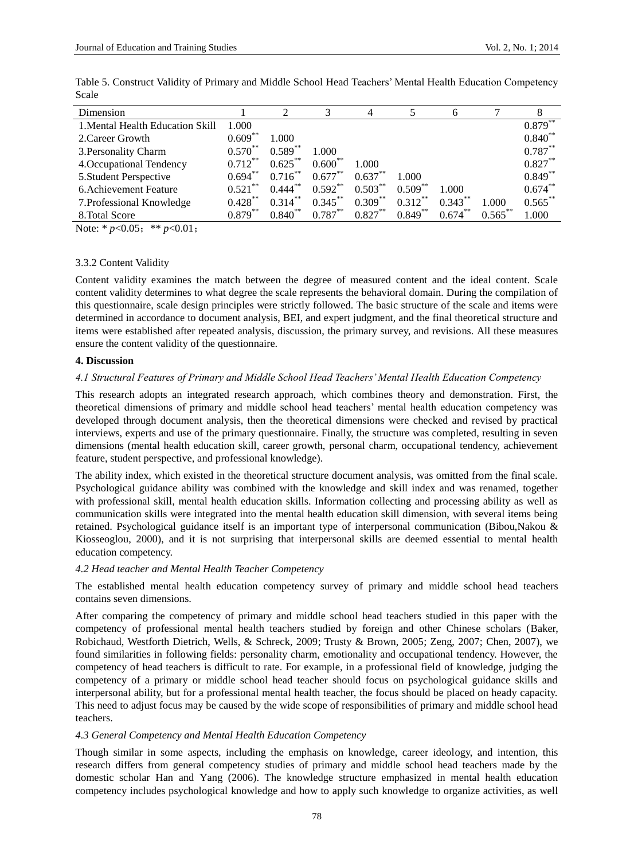| Dimension                        |            |                       |            | 4          |            |            |            |            |
|----------------------------------|------------|-----------------------|------------|------------|------------|------------|------------|------------|
| 1. Mental Health Education Skill | 1.000      |                       |            |            |            |            |            | $0.879***$ |
| 2. Career Growth                 | $0.609***$ | 1.000                 |            |            |            |            |            | $0.840**$  |
| 3. Personality Charm             | $0.570***$ | $0.589**$             | 1.000      |            |            |            |            | $0.787***$ |
| 4. Occupational Tendency         | $0.712***$ | $0.625***$            | $0.600**$  | 1.000      |            |            |            | $0.827***$ |
| 5. Student Perspective           | $0.694***$ | $0.716***$            | $0.677***$ | $0.637**$  | 1.000      |            |            | $0.849**$  |
| 6. Achievement Feature           | $0.521$ ** | $0.444$ <sup>**</sup> | $0.592***$ | $0.503***$ | $0.509***$ | 1.000      |            | $0.674***$ |
| 7. Professional Knowledge        | $0.428***$ | $0.314***$            | $0.345***$ | $0.309***$ | $0.312***$ | $0.343***$ | 1.000      | $0.565***$ |
| 8. Total Score                   | $0.879***$ | $0.840**$             | $0.787***$ | $0.827***$ | $0.849***$ | $0.674***$ | $0.565***$ | 1.000      |

Table 5. Construct Validity of Primary and Middle School Head Teachers' Mental Health Education Competency Scale

Note: \*  $p < 0.05$ ; \*\*  $p < 0.01$ ;

## 3.3.2 Content Validity

Content validity examines the match between the degree of measured content and the ideal content. Scale content validity determines to what degree the scale represents the behavioral domain. During the compilation of this questionnaire, scale design principles were strictly followed. The basic structure of the scale and items were determined in accordance to document analysis, BEI, and expert judgment, and the final theoretical structure and items were established after repeated analysis, discussion, the primary survey, and revisions. All these measures ensure the content validity of the questionnaire.

## **4. Discussion**

# *4.1 Structural Features of Primary and Middle School Head Teachers' Mental Health Education Competency*

This research adopts an integrated research approach, which combines theory and demonstration. First, the theoretical dimensions of primary and middle school head teachers' mental health education competency was developed through document analysis, then the theoretical dimensions were checked and revised by practical interviews, experts and use of the primary questionnaire. Finally, the structure was completed, resulting in seven dimensions (mental health education skill, career growth, personal charm, occupational tendency, achievement feature, student perspective, and professional knowledge).

The ability index, which existed in the theoretical structure document analysis, was omitted from the final scale. Psychological guidance ability was combined with the knowledge and skill index and was renamed, together with professional skill, mental health education skills. Information collecting and processing ability as well as communication skills were integrated into the mental health education skill dimension, with several items being retained. Psychological guidance itself is an important type of interpersonal communication [\(Bibou,Nakou &](#page-6-4)  [Kiosseoglou, 2000\)](#page-6-4), and it is not surprising that interpersonal skills are deemed essential to mental health education competency.

# *4.2 Head teacher and Mental Health Teacher Competency*

The established mental health education competency survey of primary and middle school head teachers contains seven dimensions.

After comparing the competency of primary and middle school head teachers studied in this paper with the competency of professional mental health teachers studied by foreign and other Chinese scholars [\(Baker,](#page-6-5)  [Robichaud, Westforth Dietrich, Wells, & Schreck, 2009;](#page-6-5) [Trusty & Brown, 2005;](#page-7-5) [Zeng, 2007;](#page-7-1) Chen, 2007), we found similarities in following fields: personality charm, emotionality and occupational tendency. However, the competency of head teachers is difficult to rate. For example, in a professional field of knowledge, judging the competency of a primary or middle school head teacher should focus on psychological guidance skills and interpersonal ability, but for a professional mental health teacher, the focus should be placed on heady capacity. This need to adjust focus may be caused by the wide scope of responsibilities of primary and middle school head teachers.

# *4.3 General Competency and Mental Health Education Competency*

Though similar in some aspects, including the emphasis on knowledge, career ideology, and intention, this research differs from general competency studies of primary and middle school head teachers made by the domestic scholar Han [and Yang](#page-6-6) (2006). The knowledge structure emphasized in mental health education competency includes psychological knowledge and how to apply such knowledge to organize activities, as well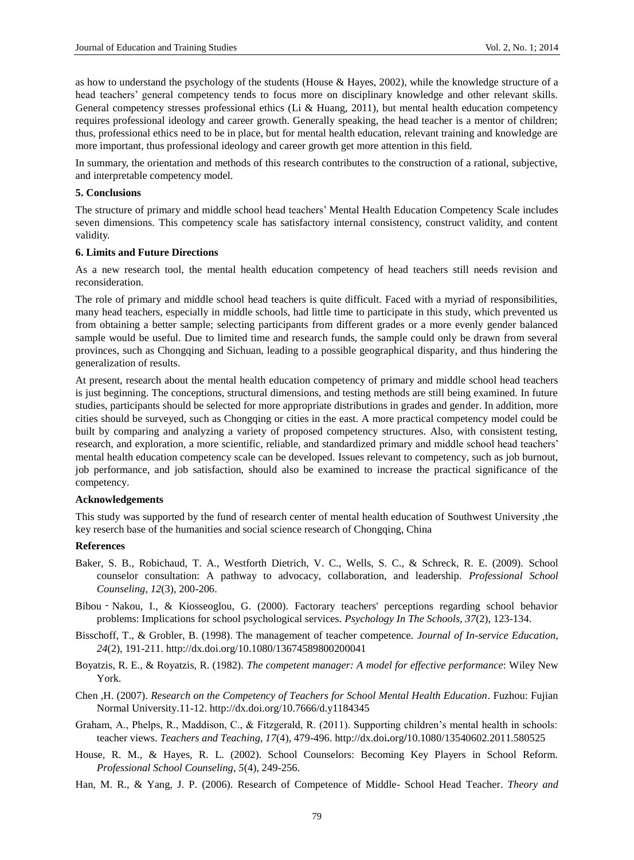as how to understand the psychology of the students [\(House & Hayes, 2002\)](#page-6-7), while the knowledge structure of a head teachers' general competency tends to focus more on disciplinary knowledge and other relevant skills. General competency stresses professional ethics (Li & Huang, 2011), but mental health education competency requires professional ideology and career growth. Generally speaking, the head teacher is a mentor of children; thus, professional ethics need to be in place, but for mental health education, relevant training and knowledge are more important, thus professional ideology and career growth get more attention in this field.

In summary, the orientation and methods of this research contributes to the construction of a rational, subjective, and interpretable competency model.

#### **5. Conclusions**

The structure of primary and middle school head teachers' Mental Health Education Competency Scale includes seven dimensions. This competency scale has satisfactory internal consistency, construct validity, and content validity.

# **6. Limits and Future Directions**

As a new research tool, the mental health education competency of head teachers still needs revision and reconsideration.

The role of primary and middle school head teachers is quite difficult. Faced with a myriad of responsibilities, many head teachers, especially in middle schools, had little time to participate in this study, which prevented us from obtaining a better sample; selecting participants from different grades or a more evenly gender balanced sample would be useful. Due to limited time and research funds, the sample could only be drawn from several provinces, such as Chongqing and Sichuan, leading to a possible geographical disparity, and thus hindering the generalization of results.

At present, research about the mental health education competency of primary and middle school head teachers is just beginning. The conceptions, structural dimensions, and testing methods are still being examined. In future studies, participants should be selected for more appropriate distributions in grades and gender. In addition, more cities should be surveyed, such as Chongqing or cities in the east. A more practical competency model could be built by comparing and analyzing a variety of proposed competency structures. Also, with consistent testing, research, and exploration, a more scientific, reliable, and standardized primary and middle school head teachers' mental health education competency scale can be developed. Issues relevant to competency, such as job burnout, job performance, and job satisfaction, should also be examined to increase the practical significance of the competency.

## **Acknowledgements**

This study was supported by the fund of research center of mental health education of Southwest University ,the key reserch base of the humanities and social science research of Chongqing, China

#### **References**

- <span id="page-6-5"></span><span id="page-6-4"></span>Baker, S. B., Robichaud, T. A., Westforth Dietrich, V. C., Wells, S. C., & Schreck, R. E. (2009). School counselor consultation: A pathway to advocacy, collaboration, and leadership. *Professional School Counseling, 12*(3), 200-206.
- <span id="page-6-1"></span>Bibou‐Nakou, I., & Kiosseoglou, G. (2000). Factorary teachers' perceptions regarding school behavior problems: Implications for school psychological services. *Psychology In The Schools, 37*(2), 123-134.
- <span id="page-6-3"></span>Bisschoff, T., & Grobler, B. (1998). The management of teacher competence. *Journal of In-service Education, 24*(2), 191-211. http://dx.doi.org/10.1080/13674589800200041
- <span id="page-6-0"></span>Boyatzis, R. E., & Royatzis, R. (1982). *The competent manager: A model for effective performance*: Wiley New York.
- Chen ,H. (2007). *Research on the Competency of Teachers for School Mental Health Education*. Fuzhou: Fujian Normal University.11-12. http://dx.doi.org[/10.7666/d.y1184345](http://dx.doi.org/10.7666/d.y1184345)
- <span id="page-6-7"></span>Graham, A., Phelps, R., Maddison, C., & Fitzgerald, R. (2011). Supporting children's mental health in schools: teacher views. *Teachers and Teaching, 17*(4), 479-496. http://dx.doi**.**org**/**10.1080/13540602.2011.580525
- House, R. M., & Hayes, R. L. (2002). School Counselors: Becoming Key Players in School Reform. *Professional School Counseling, 5*(4), 249-256.
- <span id="page-6-6"></span><span id="page-6-2"></span>Han, M. R., & Yang, J. P. (2006). Research of Competence of Middle- School Head Teacher. *Theory and*